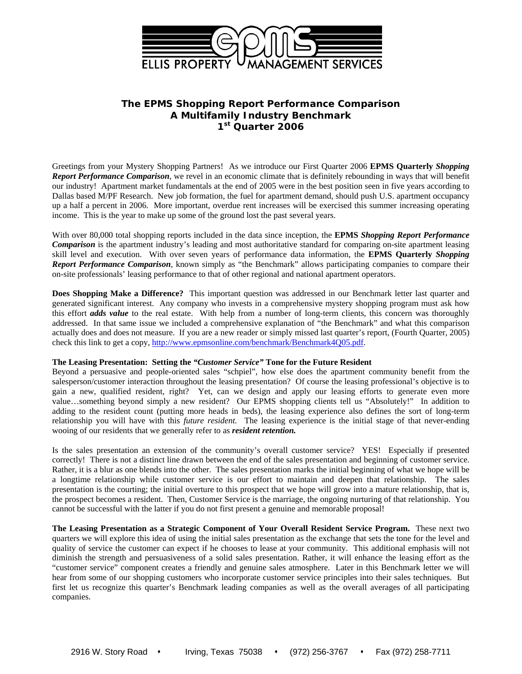

# **The EPMS** *Shopping Report Performance Comparison*  **A Multifamily Industry Benchmark 1st Quarter 2006**

Greetings from your Mystery Shopping Partners! As we introduce our First Quarter 2006 **EPMS Quarterly** *Shopping Report Performance Comparison*, we revel in an economic climate that is definitely rebounding in ways that will benefit our industry! Apartment market fundamentals at the end of 2005 were in the best position seen in five years according to Dallas based M/PF Research. New job formation, the fuel for apartment demand, should push U.S. apartment occupancy up a half a percent in 2006. More important, overdue rent increases will be exercised this summer increasing operating income. This is the year to make up some of the ground lost the past several years.

With over 80,000 total shopping reports included in the data since inception, the **EPMS** *Shopping Report Performance Comparison* is the apartment industry's leading and most authoritative standard for comparing on-site apartment leasing skill level and execution.With over seven years of performance data information, the **EPMS Quarterly** *Shopping Report Performance Comparison,* known simply as "the Benchmark" allows participating companies to compare their on-site professionals' leasing performance to that of other regional and national apartment operators.

**Does Shopping Make a Difference?** This important question was addressed in our Benchmark letter last quarter and generated significant interest. Any company who invests in a comprehensive mystery shopping program must ask how this effort *adds value* to the real estate. With help from a number of long-term clients, this concern was thoroughly addressed. In that same issue we included a comprehensive explanation of "the Benchmark" and what this comparison actually does and does not measure. If you are a new reader or simply missed last quarter's report, (Fourth Quarter, 2005) check this link to get a copy, http://www.epmsonline.com/benchmark/Benchmark4Q05.pdf.

### **The Leasing Presentation: Setting the** *"Customer Service"* **Tone for the Future Resident**

Beyond a persuasive and people-oriented sales "schpiel", how else does the apartment community benefit from the salesperson/customer interaction throughout the leasing presentation? Of course the leasing professional's objective is to gain a new, qualified resident, right? Yet, can we design and apply our leasing efforts to generate even more value…something beyond simply a new resident? Our EPMS shopping clients tell us "Absolutely!" In addition to adding to the resident count (putting more heads in beds), the leasing experience also defines the sort of long-term relationship you will have with this *future resident.* The leasing experience is the initial stage of that never-ending wooing of our residents that we generally refer to as *resident retention.*

Is the sales presentation an extension of the community's overall customer service? YES! Especially if presented correctly! There is not a distinct line drawn between the end of the sales presentation and beginning of customer service. Rather, it is a blur as one blends into the other. The sales presentation marks the initial beginning of what we hope will be a longtime relationship while customer service is our effort to maintain and deepen that relationship. The sales presentation is the courting; the initial overture to this prospect that we hope will grow into a mature relationship, that is, the prospect becomes a resident. Then, Customer Service is the marriage, the ongoing nurturing of that relationship. You cannot be successful with the latter if you do not first present a genuine and memorable proposal!

**The Leasing Presentation as a Strategic Component of Your Overall Resident Service Program.** These next two quarters we will explore this idea of using the initial sales presentation as the exchange that sets the tone for the level and quality of service the customer can expect if he chooses to lease at your community. This additional emphasis will not diminish the strength and persuasiveness of a solid sales presentation. Rather, it will enhance the leasing effort as the "customer service" component creates a friendly and genuine sales atmosphere. Later in this Benchmark letter we will hear from some of our shopping customers who incorporate customer service principles into their sales techniques. But first let us recognize this quarter's Benchmark leading companies as well as the overall averages of all participating companies.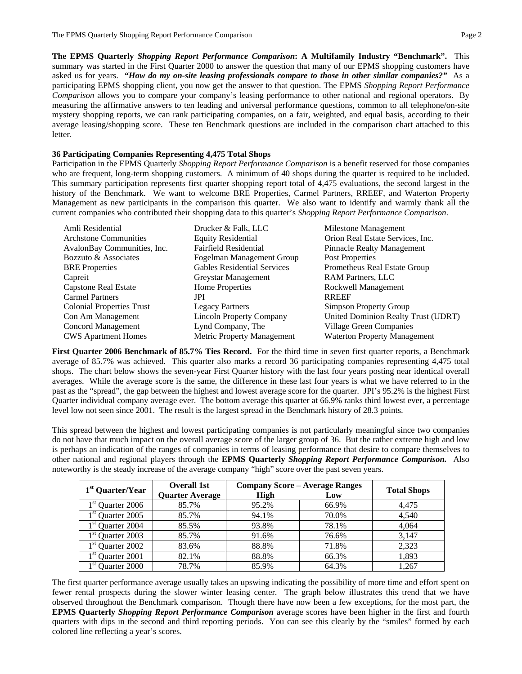**The EPMS Quarterly** *Shopping Report Performance Comparison***: A Multifamily Industry "Benchmark".** This summary was started in the First Quarter 2000 to answer the question that many of our EPMS shopping customers have asked us for years. *"How do my on-site leasing professionals compare to those in other similar companies?"* As a participating EPMS shopping client, you now get the answer to that question. The EPMS *Shopping Report Performance Comparison* allows you to compare your company's leasing performance to other national and regional operators. By measuring the affirmative answers to ten leading and universal performance questions, common to all telephone/on-site mystery shopping reports, we can rank participating companies, on a fair, weighted, and equal basis, according to their average leasing/shopping score. These ten Benchmark questions are included in the comparison chart attached to this letter.

## **36 Participating Companies Representing 4,475 Total Shops**

Participation in the EPMS Quarterly *Shopping Report Performance Comparison* is a benefit reserved for those companies who are frequent, long-term shopping customers. A minimum of 40 shops during the quarter is required to be included. This summary participation represents first quarter shopping report total of 4,475 evaluations, the second largest in the history of the Benchmark. We want to welcome BRE Properties, Carmel Partners, RREEF, and Waterton Property Management as new participants in the comparison this quarter. We also want to identify and warmly thank all the current companies who contributed their shopping data to this quarter's *Shopping Report Performance Comparison*.

| Amli Residential                 | Drucker & Falk, LLC             | Milestone Management                |
|----------------------------------|---------------------------------|-------------------------------------|
| <b>Architone Communities</b>     | Equity Residential              | Orion Real Estate Services, Inc.    |
| AvalonBay Communities, Inc.      | <b>Fairfield Residential</b>    | <b>Pinnacle Realty Management</b>   |
| Bozzuto & Associates             | Fogelman Management Group       | Post Properties                     |
| <b>BRE</b> Properties            | Gables Residential Services     | Prometheus Real Estate Group        |
| Capreit                          | Greystar Management             | <b>RAM Partners, LLC</b>            |
| Capstone Real Estate             | Home Properties                 | Rockwell Management                 |
| <b>Carmel Partners</b>           | JPI                             | <b>RREEF</b>                        |
| <b>Colonial Properties Trust</b> | <b>Legacy Partners</b>          | Simpson Property Group              |
| Con Am Management                | <b>Lincoln Property Company</b> | United Dominion Realty Trust (UDRT) |
| <b>Concord Management</b>        | Lynd Company, The               | Village Green Companies             |
| <b>CWS</b> Apartment Homes       | Metric Property Management      | <b>Waterton Property Management</b> |

**First Quarter 2006 Benchmark of 85.7% Ties Record.** For the third time in seven first quarter reports, a Benchmark average of 85.7% was achieved. This quarter also marks a record 36 participating companies representing 4,475 total shops. The chart below shows the seven-year First Quarter history with the last four years posting near identical overall averages. While the average score is the same, the difference in these last four years is what we have referred to in the past as the "spread", the gap between the highest and lowest average score for the quarter. JPI's 95.2% is the highest First Quarter individual company average ever. The bottom average this quarter at 66.9% ranks third lowest ever, a percentage level low not seen since 2001. The result is the largest spread in the Benchmark history of 28.3 points.

This spread between the highest and lowest participating companies is not particularly meaningful since two companies do not have that much impact on the overall average score of the larger group of 36. But the rather extreme high and low is perhaps an indication of the ranges of companies in terms of leasing performance that desire to compare themselves to other national and regional players through the **EPMS Quarterly** *Shopping Report Performance Comparison.* Also noteworthy is the steady increase of the average company "high" score over the past seven years.

| 1 <sup>st</sup> Quarter/Year        | <b>Overall 1st</b>     | <b>Company Score - Average Ranges</b> | <b>Total Shops</b> |       |  |
|-------------------------------------|------------------------|---------------------------------------|--------------------|-------|--|
|                                     | <b>Quarter Average</b> | High                                  | Low                |       |  |
| $1st$ Quarter 2006                  | 85.7%                  | 95.2%                                 | 66.9%              | 4.475 |  |
| $1st$ Quarter 2005                  | 85.7%                  | 94.1%                                 | 70.0%              | 4.540 |  |
| $1st$ Quarter 2004                  | 85.5%                  | 93.8%                                 | 78.1%              | 4.064 |  |
| $1st$ Quarter 2003                  | 85.7%                  | 91.6%                                 | 76.6%              | 3.147 |  |
| $1st$ Quarter 2002                  | 83.6%                  | 88.8%                                 | 71.8%              | 2.323 |  |
| $1st$ Quarter 2001                  | 82.1%                  | 88.8%                                 | 66.3%              | 1.893 |  |
| $1^{\rm st}$<br><b>Ouarter 2000</b> | 78.7%                  | 85.9%                                 | 64.3%              | 1,267 |  |

The first quarter performance average usually takes an upswing indicating the possibility of more time and effort spent on fewer rental prospects during the slower winter leasing center. The graph below illustrates this trend that we have observed throughout the Benchmark comparison. Though there have now been a few exceptions, for the most part, the **EPMS Quarterly** *Shopping Report Performance Comparison* average scores have been higher in the first and fourth quarters with dips in the second and third reporting periods. You can see this clearly by the "smiles" formed by each colored line reflecting a year's scores.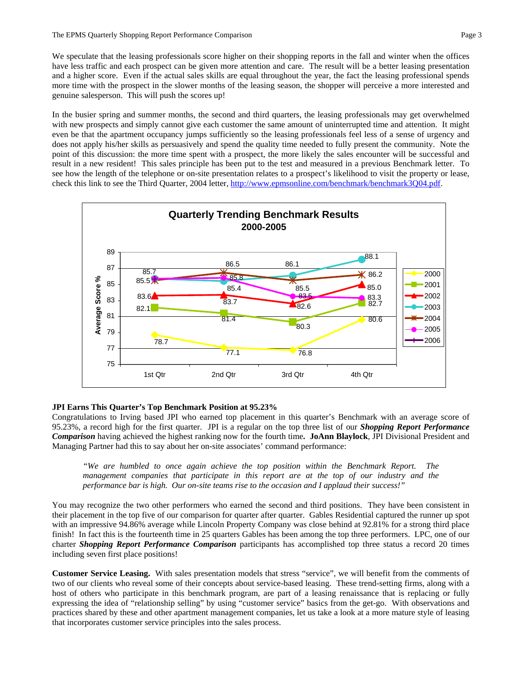We speculate that the leasing professionals score higher on their shopping reports in the fall and winter when the offices have less traffic and each prospect can be given more attention and care. The result will be a better leasing presentation and a higher score. Even if the actual sales skills are equal throughout the year, the fact the leasing professional spends more time with the prospect in the slower months of the leasing season, the shopper will perceive a more interested and genuine salesperson. This will push the scores up!

In the busier spring and summer months, the second and third quarters, the leasing professionals may get overwhelmed with new prospects and simply cannot give each customer the same amount of uninterrupted time and attention. It might even be that the apartment occupancy jumps sufficiently so the leasing professionals feel less of a sense of urgency and does not apply his/her skills as persuasively and spend the quality time needed to fully present the community. Note the point of this discussion: the more time spent with a prospect, the more likely the sales encounter will be successful and result in a new resident! This sales principle has been put to the test and measured in a previous Benchmark letter. To see how the length of the telephone or on-site presentation relates to a prospect's likelihood to visit the property or lease, check this link to see the Third Quarter, 2004 letter, http://www.epmsonline.com/benchmark/benchmark3O04.pdf.



## **JPI Earns This Quarter's Top Benchmark Position at 95.23%**

Congratulations to Irving based JPI who earned top placement in this quarter's Benchmark with an average score of 95.23%, a record high for the first quarter. JPI is a regular on the top three list of our *Shopping Report Performance Comparison* having achieved the highest ranking now for the fourth time**. JoAnn Blaylock**, JPI Divisional President and Managing Partner had this to say about her on-site associates' command performance:

*"We are humbled to once again achieve the top position within the Benchmark Report. The management companies that participate in this report are at the top of our industry and the performance bar is high. Our on-site teams rise to the occasion and I applaud their success!"* 

You may recognize the two other performers who earned the second and third positions. They have been consistent in their placement in the top five of our comparison for quarter after quarter. Gables Residential captured the runner up spot with an impressive 94.86% average while Lincoln Property Company was close behind at 92.81% for a strong third place finish! In fact this is the fourteenth time in 25 quarters Gables has been among the top three performers. LPC, one of our charter *Shopping Report Performance Comparison* participants has accomplished top three status a record 20 times including seven first place positions!

**Customer Service Leasing.** With sales presentation models that stress "service", we will benefit from the comments of two of our clients who reveal some of their concepts about service-based leasing. These trend-setting firms, along with a host of others who participate in this benchmark program, are part of a leasing renaissance that is replacing or fully expressing the idea of "relationship selling" by using "customer service" basics from the get-go. With observations and practices shared by these and other apartment management companies, let us take a look at a more mature style of leasing that incorporates customer service principles into the sales process.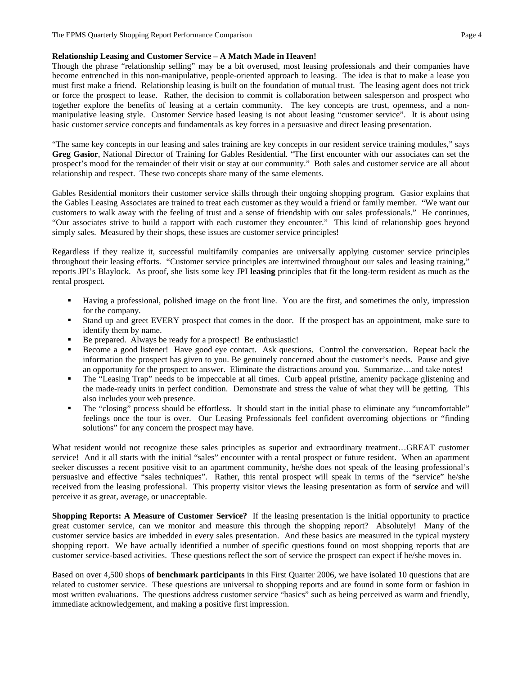## **Relationship Leasing and Customer Service – A Match Made in Heaven!**

Though the phrase "relationship selling" may be a bit overused, most leasing professionals and their companies have become entrenched in this non-manipulative, people-oriented approach to leasing. The idea is that to make a lease you must first make a friend. Relationship leasing is built on the foundation of mutual trust. The leasing agent does not trick or force the prospect to lease. Rather, the decision to commit is collaboration between salesperson and prospect who together explore the benefits of leasing at a certain community. The key concepts are trust, openness, and a nonmanipulative leasing style. Customer Service based leasing is not about leasing "customer service". It is about using basic customer service concepts and fundamentals as key forces in a persuasive and direct leasing presentation.

"The same key concepts in our leasing and sales training are key concepts in our resident service training modules," says **Greg Gasior**, National Director of Training for Gables Residential. "The first encounter with our associates can set the prospect's mood for the remainder of their visit or stay at our community." Both sales and customer service are all about relationship and respect. These two concepts share many of the same elements.

Gables Residential monitors their customer service skills through their ongoing shopping program. Gasior explains that the Gables Leasing Associates are trained to treat each customer as they would a friend or family member. "We want our customers to walk away with the feeling of trust and a sense of friendship with our sales professionals." He continues, "Our associates strive to build a rapport with each customer they encounter." This kind of relationship goes beyond simply sales. Measured by their shops, these issues are customer service principles!

Regardless if they realize it, successful multifamily companies are universally applying customer service principles throughout their leasing efforts. "Customer service principles are intertwined throughout our sales and leasing training," reports JPI's Blaylock. As proof, she lists some key JPI **leasing** principles that fit the long-term resident as much as the rental prospect.

- Having a professional, polished image on the front line. You are the first, and sometimes the only, impression for the company.
- Stand up and greet EVERY prospect that comes in the door. If the prospect has an appointment, make sure to identify them by name.
- Be prepared. Always be ready for a prospect! Be enthusiastic!
- Become a good listener! Have good eye contact. Ask questions. Control the conversation. Repeat back the information the prospect has given to you. Be genuinely concerned about the customer's needs. Pause and give an opportunity for the prospect to answer. Eliminate the distractions around you. Summarize…and take notes!
- The "Leasing Trap" needs to be impeccable at all times. Curb appeal pristine, amenity package glistening and the made-ready units in perfect condition. Demonstrate and stress the value of what they will be getting. This also includes your web presence.
- The "closing" process should be effortless. It should start in the initial phase to eliminate any "uncomfortable" feelings once the tour is over. Our Leasing Professionals feel confident overcoming objections or "finding solutions" for any concern the prospect may have.

What resident would not recognize these sales principles as superior and extraordinary treatment…GREAT customer service! And it all starts with the initial "sales" encounter with a rental prospect or future resident. When an apartment seeker discusses a recent positive visit to an apartment community, he/she does not speak of the leasing professional's persuasive and effective "sales techniques". Rather, this rental prospect will speak in terms of the "service" he/she received from the leasing professional. This property visitor views the leasing presentation as form of *service* and will perceive it as great, average, or unacceptable.

**Shopping Reports: A Measure of Customer Service?** If the leasing presentation is the initial opportunity to practice great customer service, can we monitor and measure this through the shopping report? Absolutely! Many of the customer service basics are imbedded in every sales presentation. And these basics are measured in the typical mystery shopping report. We have actually identified a number of specific questions found on most shopping reports that are customer service-based activities. These questions reflect the sort of service the prospect can expect if he/she moves in.

Based on over 4,500 shops **of benchmark participants** in this First Quarter 2006, we have isolated 10 questions that are related to customer service. These questions are universal to shopping reports and are found in some form or fashion in most written evaluations. The questions address customer service "basics" such as being perceived as warm and friendly, immediate acknowledgement, and making a positive first impression.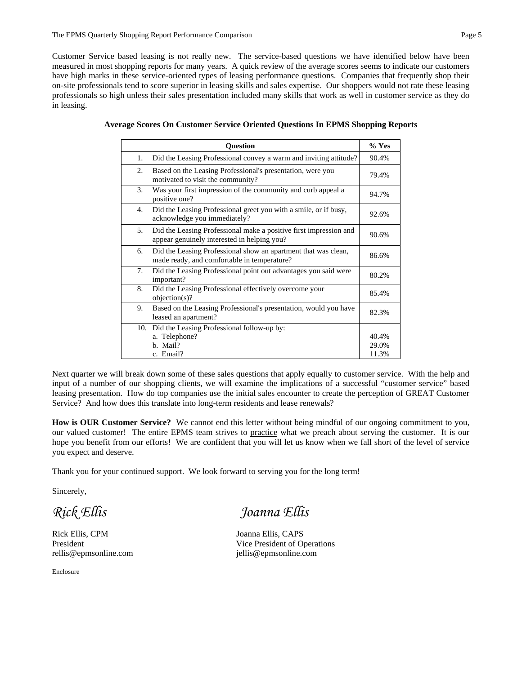Customer Service based leasing is not really new. The service-based questions we have identified below have been measured in most shopping reports for many years. A quick review of the average scores seems to indicate our customers have high marks in these service-oriented types of leasing performance questions. Companies that frequently shop their on-site professionals tend to score superior in leasing skills and sales expertise. Our shoppers would not rate these leasing professionals so high unless their sales presentation included many skills that work as well in customer service as they do in leasing.

|    | <b>Question</b>                                                                                                  | $%$ Yes                 |
|----|------------------------------------------------------------------------------------------------------------------|-------------------------|
| 1. | Did the Leasing Professional convey a warm and inviting attitude?                                                | 90.4%                   |
| 2. | Based on the Leasing Professional's presentation, were you<br>motivated to visit the community?                  | 79.4%                   |
| 3. | Was your first impression of the community and curb appeal a<br>positive one?                                    | 94.7%                   |
| 4. | Did the Leasing Professional greet you with a smile, or if busy,<br>acknowledge you immediately?                 | 92.6%                   |
| 5. | Did the Leasing Professional make a positive first impression and<br>appear genuinely interested in helping you? | 90.6%                   |
| 6. | Did the Leasing Professional show an apartment that was clean,<br>made ready, and comfortable in temperature?    | 86.6%                   |
| 7. | Did the Leasing Professional point out advantages you said were<br>important?                                    | 80.2%                   |
| 8. | Did the Leasing Professional effectively overcome your<br>$objection(s)$ ?                                       | 85.4%                   |
| 9. | Based on the Leasing Professional's presentation, would you have<br>leased an apartment?                         | 82.3%                   |
|    | 10. Did the Leasing Professional follow-up by:<br>a. Telephone?<br>b. Mail?<br>c. Email?                         | 40.4%<br>29.0%<br>11.3% |

|  | Average Scores On Customer Service Oriented Questions In EPMS Shopping Reports |  |  |  |  |
|--|--------------------------------------------------------------------------------|--|--|--|--|
|  |                                                                                |  |  |  |  |

Next quarter we will break down some of these sales questions that apply equally to customer service. With the help and input of a number of our shopping clients, we will examine the implications of a successful "customer service" based leasing presentation. How do top companies use the initial sales encounter to create the perception of GREAT Customer Service? And how does this translate into long-term residents and lease renewals?

**How is OUR Customer Service?** We cannot end this letter without being mindful of our ongoing commitment to you, our valued customer! The entire EPMS team strives to practice what we preach about serving the customer. It is our hope you benefit from our efforts! We are confident that you will let us know when we fall short of the level of service you expect and deserve.

Thank you for your continued support. We look forward to serving you for the long term!

Sincerely,

Rick Ellis, CPM Joanna Ellis, CAPS rellis@epmsonline.com jellis@epmsonline.com

Enclosure

*Rick Ellis Joanna Ellis* 

President Vice President of Operations